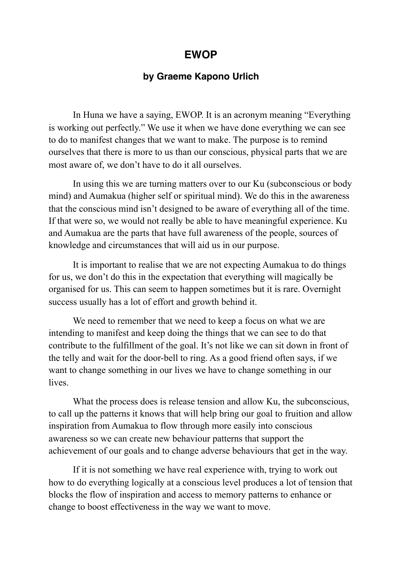## **EWOP**

## **by Graeme Kapono Urlich**

 In Huna we have a saying, EWOP. It is an acronym meaning "Everything is working out perfectly." We use it when we have done everything we can see to do to manifest changes that we want to make. The purpose is to remind ourselves that there is more to us than our conscious, physical parts that we are most aware of, we don't have to do it all ourselves.

 In using this we are turning matters over to our Ku (subconscious or body mind) and Aumakua (higher self or spiritual mind). We do this in the awareness that the conscious mind isn't designed to be aware of everything all of the time. If that were so, we would not really be able to have meaningful experience. Ku and Aumakua are the parts that have full awareness of the people, sources of knowledge and circumstances that will aid us in our purpose.

 It is important to realise that we are not expecting Aumakua to do things for us, we don't do this in the expectation that everything will magically be organised for us. This can seem to happen sometimes but it is rare. Overnight success usually has a lot of effort and growth behind it.

We need to remember that we need to keep a focus on what we are intending to manifest and keep doing the things that we can see to do that contribute to the fulfillment of the goal. It's not like we can sit down in front of the telly and wait for the door-bell to ring. As a good friend often says, if we want to change something in our lives we have to change something in our **lives** 

 What the process does is release tension and allow Ku, the subconscious, to call up the patterns it knows that will help bring our goal to fruition and allow inspiration from Aumakua to flow through more easily into conscious awareness so we can create new behaviour patterns that support the achievement of our goals and to change adverse behaviours that get in the way.

 If it is not something we have real experience with, trying to work out how to do everything logically at a conscious level produces a lot of tension that blocks the flow of inspiration and access to memory patterns to enhance or change to boost effectiveness in the way we want to move.